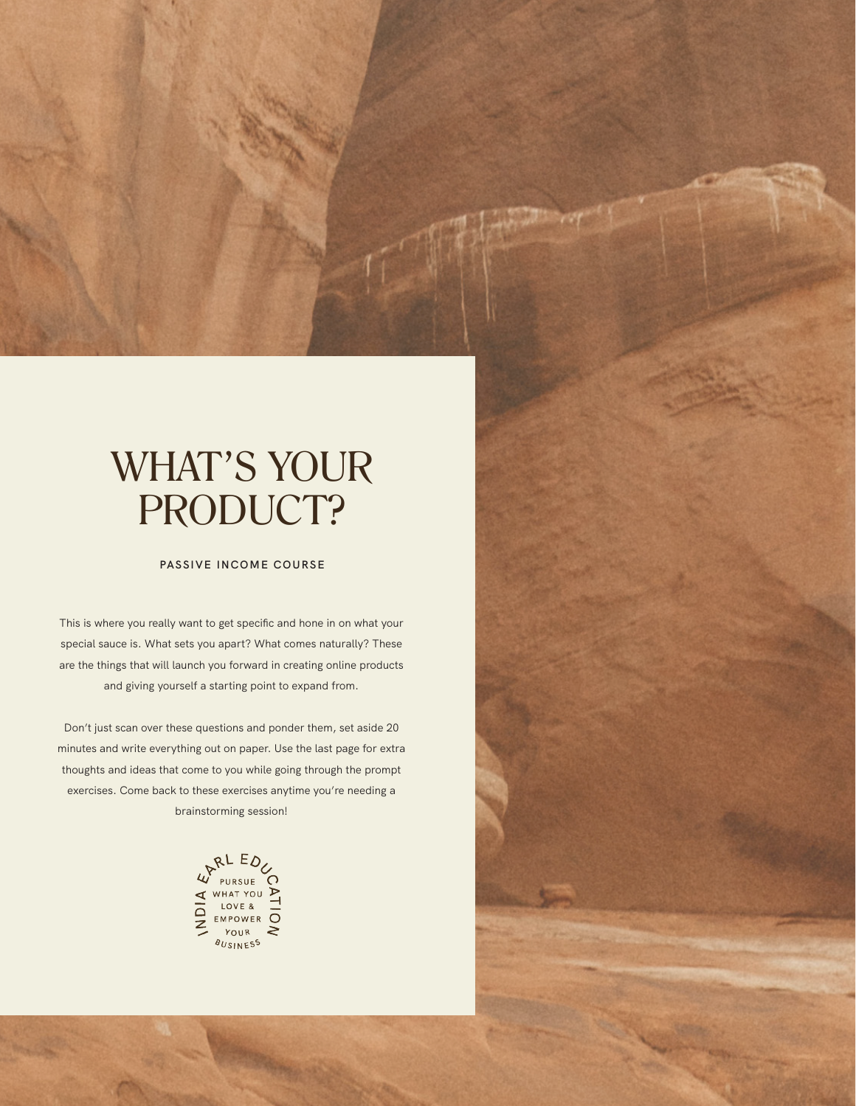## WHAT'S YOUR PRODUCT?

## **PASSIVE INCOME COURSE**

This is where you really want to get specific and hone in on what your special sauce is. What sets you apart? What comes naturally? These are the things that will launch you forward in creating online products and giving yourself a starting point to expand from.

Don't just scan over these questions and ponder them, set aside 20 minutes and write everything out on paper. Use the last page for extra thoughts and ideas that come to you while going through the prompt exercises. Come back to these exercises anytime you're needing a brainstorming session!

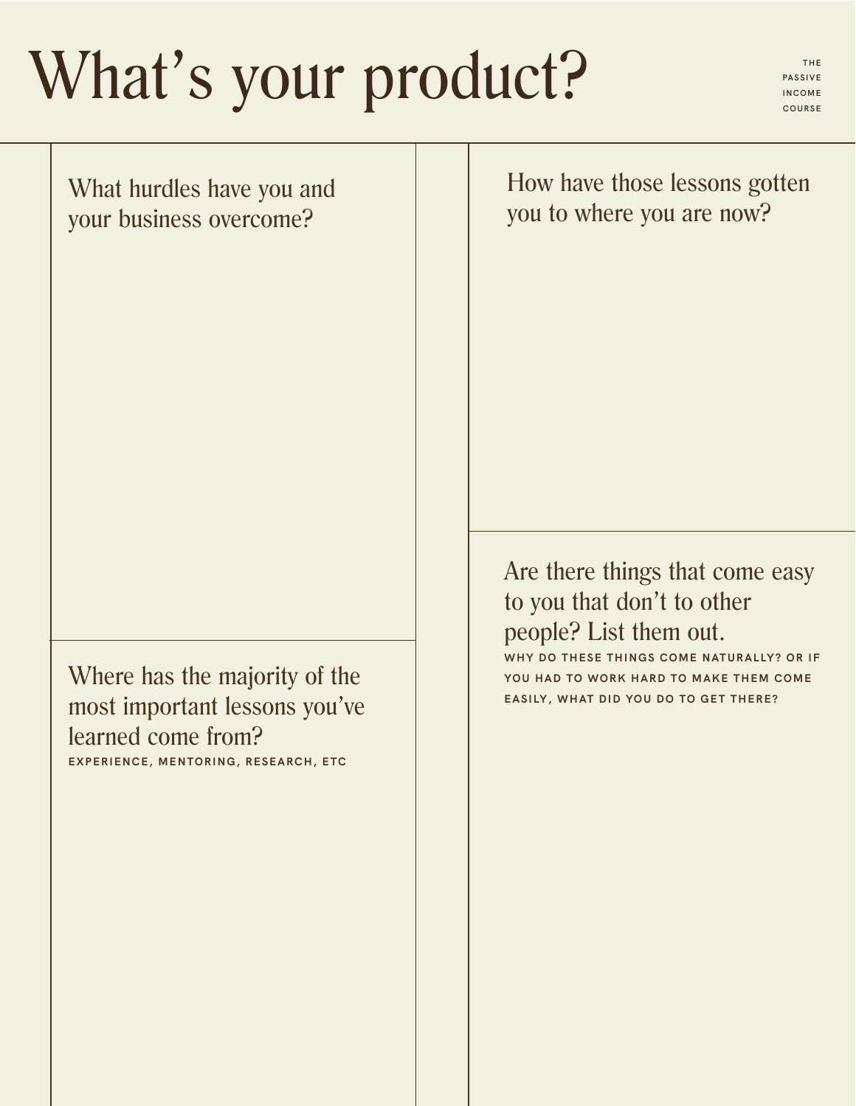## What's your product?

**PASSIVE INCOME COURSE**

What hurdles have you and your business overcome?

Where has the majority of the most important lessons you've learned come from? **EXPERIENCE, MENTORING, RESEARCH, ETC**

How have those lessons gotten you to where you are now?

Are there things that come easy to you that don't to other people? List them out. **THESE THINGS COME NATURALLY? OR IF YOU HAD TO WORK HARD TO MAKE THEM COME** 

**EASILY, WHAT DID YOU DO TO GET THERE?**